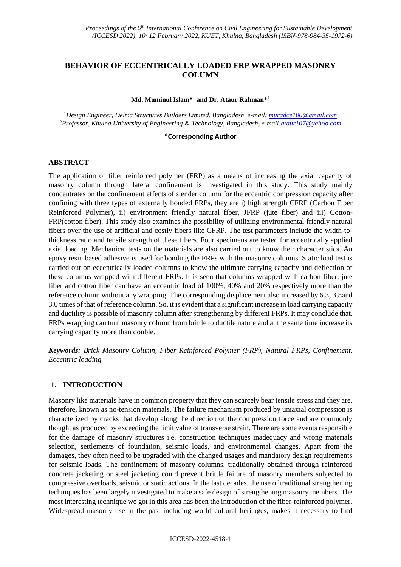# **BEHAVIOR OF ECCENTRICALLY LOADED FRP WRAPPED MASONRY COLUMN**

#### **Md. Muminul Islam\* <sup>1</sup> and Dr. Ataur Rahman\* 2**

<sup>1</sup>*Design Engineer, Delma Structures Builders Limited, Bangladesh, e-mail: [muradce100@gmail.com](mailto:muradce100@gmail.com)* <sup>2</sup>*Professor, Khulna University of Engineering & Technology, Bangladesh, e-mail[:ataur107@yahoo.com](mailto:ataur107@yahoo.com)*

### **\*Corresponding Author**

#### **ABSTRACT**

The application of fiber reinforced polymer (FRP) as a means of increasing the axial capacity of masonry column through lateral confinement is investigated in this study. This study mainly concentrates on the confinement effects of slender column for the eccentric compression capacity after confining with three types of externally bonded FRPs, they are i) high strength CFRP (Carbon Fiber Reinforced Polymer), ii) environment friendly natural fiber, JFRP (jute fiber) and iii) Cotton-FRP(cotton fiber). This study also examines the possibility of utilizing environmental friendly natural fibers over the use of artificial and costly fibers like CFRP. The test parameters include the width-tothickness ratio and tensile strength of these fibers. Four specimens are tested for eccentrically applied axial loading. Mechanical tests on the materials are also carried out to know their characteristics. An epoxy resin based adhesive is used for bonding the FRPs with the masonry columns. Static load test is carried out on eccentrically loaded columns to know the ultimate carrying capacity and deflection of these columns wrapped with different FRPs. It is seen that columns wrapped with carbon fiber, jute fiber and cotton fiber can have an eccentric load of 100%, 40% and 20% respectively more than the reference column without any wrapping. The corresponding displacement also increased by 6.3, 3.8and 3.0 times of that of reference column. So, it is evident that a significant increase in load carrying capacity and ductility is possible of masonry column after strengthening by different FRPs. It may conclude that, FRPs wrapping can turn masonry column from brittle to ductile nature and at the same time increase its carrying capacity more than double.

*Keywords: Brick Masonry Column, Fiber Reinforced Polymer (FRP), Natural FRPs, Confinement, Eccentric loading*

#### **1. INTRODUCTION**

Masonry like materials have in common property that they can scarcely bear tensile stress and they are, therefore, known as no-tension materials. The failure mechanism produced by uniaxial compression is characterized by cracks that develop along the direction of the compression force and are commonly thought as produced by exceeding the limit value of transverse strain. There are some events responsible for the damage of masonry structures i.e. construction techniques inadequacy and wrong materials selection, settlements of foundation, seismic loads, and environmental changes. Apart from the damages, they often need to be upgraded with the changed usages and mandatory design requirements for seismic loads. The confinement of masonry columns, traditionally obtained through reinforced concrete jacketing or steel jacketing could prevent brittle failure of masonry members subjected to compressive overloads, seismic or static actions. In the last decades, the use of traditional strengthening techniques has been largely investigated to make a safe design of strengthening masonry members. The most interesting technique we got in this area has been the introduction of the fiber-reinforced polymer. Widespread masonry use in the past including world cultural heritages, makes it necessary to find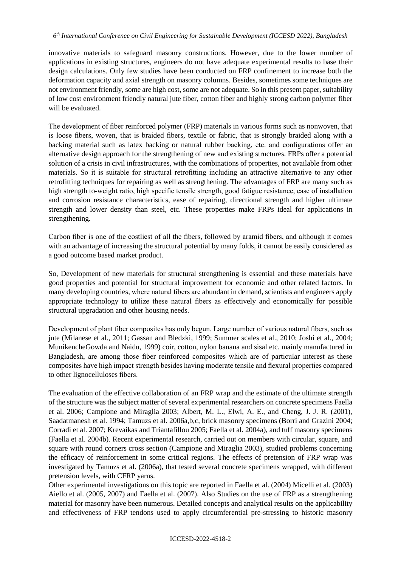innovative materials to safeguard masonry constructions. However, due to the lower number of applications in existing structures, engineers do not have adequate experimental results to base their design calculations. Only few studies have been conducted on FRP confinement to increase both the deformation capacity and axial strength on masonry columns. Besides, sometimes some techniques are not environment friendly, some are high cost, some are not adequate. So in this present paper, suitability of low cost environment friendly natural jute fiber, cotton fiber and highly strong carbon polymer fiber will be evaluated.

The development of fiber reinforced polymer (FRP) materials in various forms such as nonwoven, that is loose fibers, woven, that is braided fibers, textile or fabric, that is strongly braided along with a backing material such as latex backing or natural rubber backing, etc. and configurations offer an alternative design approach for the strengthening of new and existing structures. FRPs offer a potential solution of a crisis in civil infrastructures, with the combinations of properties, not available from other materials. So it is suitable for structural retrofitting including an attractive alternative to any other retrofitting techniques for repairing as well as strengthening. The advantages of FRP are many such as high strength to-weight ratio, high specific tensile strength, good fatigue resistance, ease of installation and corrosion resistance characteristics, ease of repairing, directional strength and higher ultimate strength and lower density than steel, etc. These properties make FRPs ideal for applications in strengthening.

Carbon fiber is one of the costliest of all the fibers, followed by aramid fibers, and although it comes with an advantage of increasing the structural potential by many folds, it cannot be easily considered as a good outcome based market product.

So, Development of new materials for structural strengthening is essential and these materials have good properties and potential for structural improvement for economic and other related factors. In many developing countries, where natural fibers are abundant in demand, scientists and engineers apply appropriate technology to utilize these natural fibers as effectively and economically for possible structural upgradation and other housing needs.

Development of plant fiber composites has only begun. Large number of various natural fibers, such as jute (Milanese et al., 2011; Gassan and Bledzki, 1999; Summer scales et al., 2010; Joshi et al., 2004; MunikencheGowda and Naidu, 1999) coir, cotton, nylon banana and sisal etc. mainly manufactured in Bangladesh, are among those fiber reinforced composites which are of particular interest as these composites have high impact strength besides having moderate tensile and flexural properties compared to other lignocelluloses fibers.

The evaluation of the effective collaboration of an FRP wrap and the estimate of the ultimate strength of the structure was the subject matter of several experimental researchers on concrete specimens Faella et al. 2006; Campione and Miraglia 2003; Albert, M. L., Elwi, A. E., and Cheng, J. J. R. (2001), Saadatmanesh et al. 1994; Tamuzs et al. 2006a,b,c, brick masonry specimens (Borri and Grazini 2004; Corradi et al. 2007; Krevaikas and Triantafillou 2005; Faella et al. 2004a), and tuff masonry specimens (Faella et al. 2004b). Recent experimental research, carried out on members with circular, square, and square with round corners cross section (Campione and Miraglia 2003), studied problems concerning the efficacy of reinforcement in some critical regions. The effects of pretension of FRP wrap was investigated by Tamuzs et al. (2006a), that tested several concrete specimens wrapped, with different pretension levels, with CFRP yarns.

Other experimental investigations on this topic are reported in Faella et al. (2004) Micelli et al. (2003) Aiello et al. (2005, 2007) and Faella et al. (2007). Also Studies on the use of FRP as a strengthening material for masonry have been numerous. Detailed concepts and analytical results on the applicability and effectiveness of FRP tendons used to apply circumferential pre-stressing to historic masonry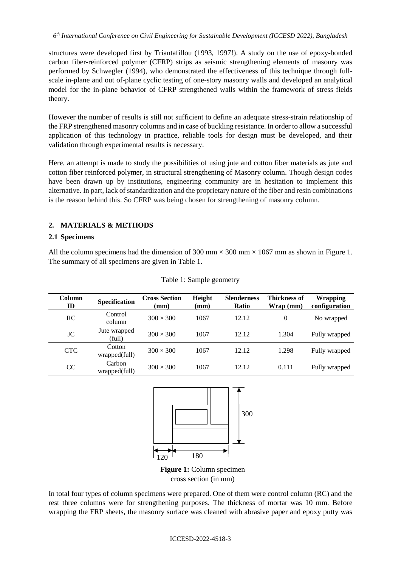structures were developed first by Triantafillou (1993, 1997!). A study on the use of epoxy-bonded carbon fiber-reinforced polymer (CFRP) strips as seismic strengthening elements of masonry was performed by Schwegler (1994), who demonstrated the effectiveness of this technique through fullscale in-plane and out of-plane cyclic testing of one-story masonry walls and developed an analytical model for the in-plane behavior of CFRP strengthened walls within the framework of stress fields theory.

However the number of results is still not sufficient to define an adequate stress-strain relationship of the FRP strengthened masonry columns and in case of buckling resistance. In order to allow a successful application of this technology in practice, reliable tools for design must be developed, and their validation through experimental results is necessary.

Here, an attempt is made to study the possibilities of using jute and cotton fiber materials as jute and cotton fiber reinforced polymer, in structural strengthening of Masonry column. Though design codes have been drawn up by institutions, engineering community are in hesitation to implement this alternative. In part, lack of standardization and the proprietary nature of the fiber and resin combinations is the reason behind this. So CFRP was being chosen for strengthening of masonry column.

# **2. MATERIALS & METHODS**

## **2.1 Specimens**

All the column specimens had the dimension of 300 mm  $\times$  300 mm  $\times$  1067 mm as shown in Figure 1. The summary of all specimens are given in Table 1.

| Column<br>ID  | <b>Specification</b>    | <b>Cross Section</b><br>(mm) | Height<br>(mm) | <b>Slenderness</b><br><b>Ratio</b> | <b>Thickness of</b><br>Wrap (mm) | <b>Wrapping</b><br>configuration |
|---------------|-------------------------|------------------------------|----------------|------------------------------------|----------------------------------|----------------------------------|
| RC            | Control<br>column       | $300 \times 300$             | 1067           | 12.12                              | $\theta$                         | No wrapped                       |
| JC            | Jute wrapped<br>(full)  | $300 \times 300$             | 1067           | 12.12                              | 1.304                            | Fully wrapped                    |
| <b>CTC</b>    | Cotton<br>wrapped(full) | $300 \times 300$             | 1067           | 12.12                              | 1.298                            | Fully wrapped                    |
| <sub>CC</sub> | Carbon<br>wrapped(full) | $300 \times 300$             | 1067           | 12.12                              | 0.111                            | Fully wrapped                    |

Table 1: Sample geometry



**Figure 1:** Column specimen cross section (in mm)

In total four types of column specimens were prepared. One of them were control column (RC) and the rest three columns were for strengthening purposes. The thickness of mortar was 10 mm. Before wrapping the FRP sheets, the masonry surface was cleaned with abrasive paper and epoxy putty was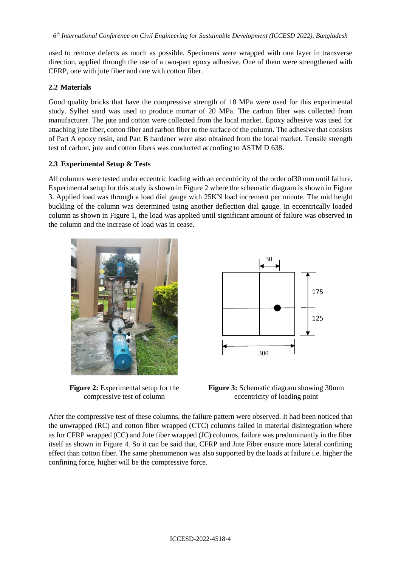used to remove defects as much as possible. Specimens were wrapped with one layer in transverse direction, applied through the use of a two-part epoxy adhesive. One of them were strengthened with CFRP, one with jute fiber and one with cotton fiber.

# **2.2 Materials**

Good quality bricks that have the compressive strength of 18 MPa were used for this experimental study. Sylhet sand was used to produce mortar of 20 MPa. The carbon fiber was collected from manufacturer. The jute and cotton were collected from the local market. Epoxy adhesive was used for attaching jute fiber, cotton fiber and carbon fiber to the surface of the column. The adhesive that consists of Part A epoxy resin, and Part B hardener were also obtained from the local market. Tensile strength test of carbon, jute and cotton fibers was conducted according to ASTM D 638.

# **2.3 Experimental Setup & Tests**

All columns were tested under eccentric loading with an eccentricity of the order of30 mm until failure. Experimental setup for this study is shown in Figure 2 where the schematic diagram is shown in Figure 3. Applied load was through a load dial gauge with 25KN load increment per minute. The mid height buckling of the column was determined using another deflection dial gauge. In eccentrically loaded column as shown in Figure 1, the load was applied until significant amount of failure was observed in the column and the increase of load was in cease.



**Figure 2:** Experimental setup for the compressive test of column



**Figure 3:** Schematic diagram showing 30mm eccentricity of loading point

After the compressive test of these columns, the failure pattern were observed. It had been noticed that the unwrapped (RC) and cotton fiber wrapped (CTC) columns failed in material disintegration where as for CFRP wrapped (CC) and Jute fiber wrapped (JC) columns, failure was predominantly in the fiber itself as shown in Figure 4. So it can be said that, CFRP and Jute Fiber ensure more lateral confining effect than cotton fiber. The same phenomenon was also supported by the loads at failure i.e. higher the confining force, higher will be the compressive force.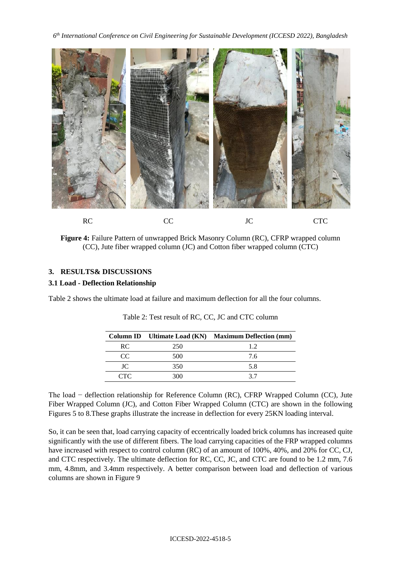

**Figure 4:** Failure Pattern of unwrapped Brick Masonry Column (RC), CFRP wrapped column (CC), Jute fiber wrapped column (JC) and Cotton fiber wrapped column (CTC)

## **3. RESULTS& DISCUSSIONS**

## **3.1 Load - Deflection Relationship**

Table 2 shows the ultimate load at failure and maximum deflection for all the four columns.

|          |     | Column ID Ultimate Load (KN) Maximum Deflection (mm) |
|----------|-----|------------------------------------------------------|
| RC.      | 250 | 12                                                   |
| $\alpha$ | 500 | 7.6                                                  |
| TC.      | 350 | 5.8                                                  |
| CTC.     | 300 | 37                                                   |

Table 2: Test result of RC, CC, JC and CTC column

The load − deflection relationship for Reference Column (RC), CFRP Wrapped Column (CC), Jute Fiber Wrapped Column (JC), and Cotton Fiber Wrapped Column (CTC) are shown in the following Figures 5 to 8.These graphs illustrate the increase in deflection for every 25KN loading interval.

So, it can be seen that, load carrying capacity of eccentrically loaded brick columns has increased quite significantly with the use of different fibers. The load carrying capacities of the FRP wrapped columns have increased with respect to control column (RC) of an amount of 100%, 40%, and 20% for CC, CJ, and CTC respectively. The ultimate deflection for RC, CC, JC, and CTC are found to be 1.2 mm, 7.6 mm, 4.8mm, and 3.4mm respectively. A better comparison between load and deflection of various columns are shown in Figure 9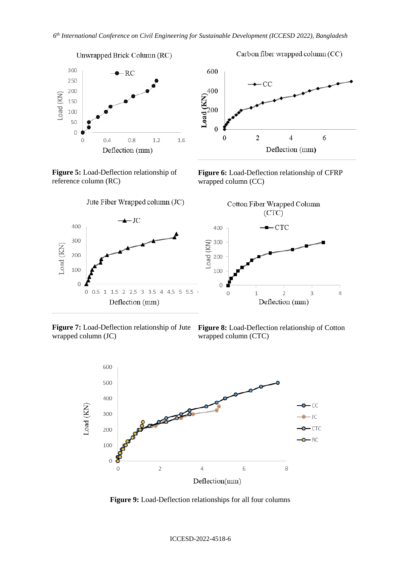

**Figure 5:** Load-Deflection relationship of reference column (RC)





Carbon fiber wrapped column (CC)

**Figure 6:** Load-Deflection relationship of CFRP wrapped column (CC)



wrapped column (JC)

**Figure 7:** Load-Deflection relationship of Jute **Figure 8:** Load-Deflection relationship of Cotton wrapped column (CTC)



**Figure 9:** Load-Deflection relationships for all four columns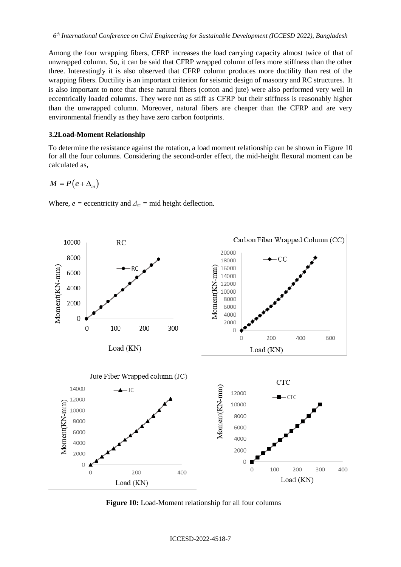Among the four wrapping fibers, CFRP increases the load carrying capacity almost twice of that of unwrapped column. So, it can be said that CFRP wrapped column offers more stiffness than the other three. Interestingly it is also observed that CFRP column produces more ductility than rest of the wrapping fibers. Ductility is an important criterion for seismic design of masonry and RC structures. It is also important to note that these natural fibers (cotton and jute) were also performed very well in eccentrically loaded columns. They were not as stiff as CFRP but their stiffness is reasonably higher than the unwrapped column. Moreover, natural fibers are cheaper than the CFRP and are very environmental friendly as they have zero carbon footprints.

#### **3.2Load-Moment Relationship**

To determine the resistance against the rotation, a load moment relationship can be shown in Figure 10 for all the four columns. Considering the second-order effect, the mid-height flexural moment can be calculated as,

$$
M = P(e + \Delta_m)
$$

Where,  $e =$  eccentricity and  $\Delta_m =$  mid height deflection.



**Figure 10:** Load-Moment relationship for all four columns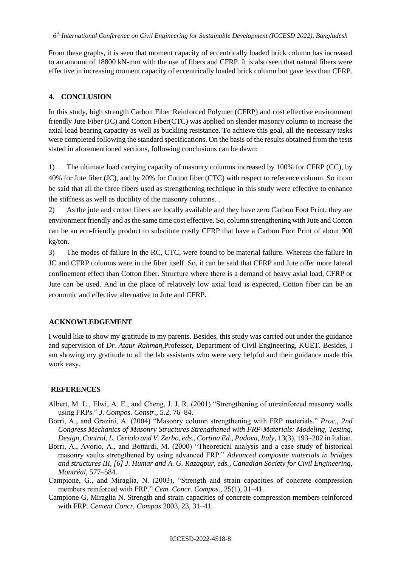From these graphs, it is seen that moment capacity of eccentrically loaded brick column has increased to an amount of 18800 kN-mm with the use of fibers and CFRP. It is also seen that natural fibers were effective in increasing moment capacity of eccentrically loaded brick column but gave less than CFRP.

# **4. CONCLUSION**

In this study, high strength Carbon Fiber Reinforced Polymer (CFRP) and cost effective environment friendly Jute Fiber (JC) and Cotton Fiber(CTC) was applied on slender masonry column to increase the axial load bearing capacity as well as buckling resistance. To achieve this goal, all the necessary tasks were completed following the standard specifications. On the basis of the results obtained from the tests stated in aforementioned sections, following conclusions can be dawn:

1) The ultimate load carrying capacity of masonry columns increased by 100% for CFRP (CC), by 40% for Jute fiber (JC), and by 20% for Cotton fiber (CTC) with respect to reference column. So it can be said that all the three fibers used as strengthening technique in this study were effective to enhance the stiffness as well as ductility of the masonry columns. .

2) As the jute and cotton fibers are locally available and they have zero Carbon Foot Print, they are environment friendly and as the same time cost effective. So, column strengthening with Jute and Cotton can be an eco-friendly product to substitute costly CFRP that have a Carbon Foot Print of about 900 kg/ton.

3) The modes of failure in the RC, CTC, were found to be material failure. Whereas the failure in JC and CFRP columns were in the fiber itself. So, it can be said that CFRP and Jute offer more lateral confinement effect than Cotton fiber. Structure where there is a demand of heavy axial load, CFRP or Jute can be used. And in the place of relatively low axial load is expected, Cotton fiber can be an economic and effective alternative to Jute and CFRP.

# **ACKNOWLEDGEMENT**

I would like to show my gratitude to my parents. Besides, this study was carried out under the guidance and supervision of *Dr. Ataur Rahman,*Professor*,* Department of Civil Engineering, KUET. Besides, I am showing my gratitude to all the lab assistants who were very helpful and their guidance made this work easy.

# **REFERENCES**

- Albert, M. L., Elwi, A. E., and Cheng, J. J. R. (2001) "Strengthening of unreinforced masonry walls using FRPs." *J. Compos. Constr.,* 5.2, 76–84.
- Borri, A., and Grazini, A. (2004) "Masonry column strengthening with FRP materials." *Proc., 2nd Congress Mechanics of Masonry Structures Strengthened with FRP-Materials: Modeling, Testing, Design, Control, L. Ceriolo and V. Zerbo, eds., Cortina Ed., Padova, Italy*, 13(3), 193–202 in Italian.
- Borri, A., Avorio, A., and Bottardi, M. (2000) "Theoretical analysis and a case study of historical masonry vaults strengthened by using advanced FRP." *Advanced composite materials in bridges and structures III, [6] J. Humar and A. G. Razaqpur, eds., Canadian Society for Civil Engineering, Montréal*, 577–584.
- Campione, G., and Miraglia, N. (2003), "Strength and strain capacities of concrete compression members reinforced with FRP." *Cem. Concr. Compos.,* 25(1), 31–41.
- Campione G, Miraglia N. Strength and strain capacities of concrete compression members reinforced with FRP. *Cement Concr. Compos* 2003, 23, 31–41.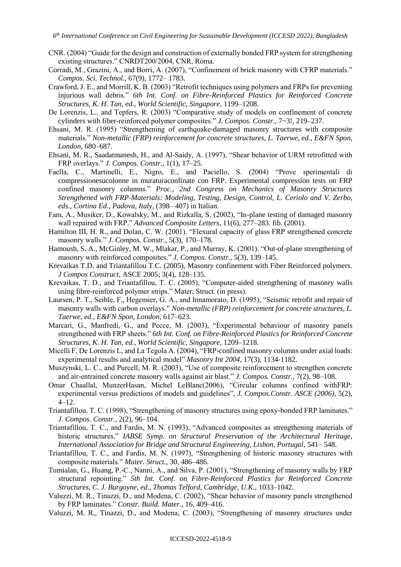- CNR. (2004) "Guide for the design and construction of externally bonded FRP system for strengthening existing structures." CNRDT200/2004, CNR, Roma.
- Corradi, M., Grazini, A., and Borri, A. (2007), "Confinement of brick masonry with CFRP materials." *Compos. Sci. Technol.,* 67(9), 1772– 1783.
- Crawford, J. E., and Morrill, K. B. (2003) "Retrofit techniques using polymers and FRPs for preventing injurious wall debris." *6th Int. Conf. on Fibre-Reinforced Plastics for Reinforced Concrete Structures, K. H. Tan, ed., World Scientific, Singapore*, 1199–1208.
- De Lorenzis, L., and Tepfers, R. (2003) "Comparative study of models on confinement of concrete cylinders with fiber-reinforced polymer composites." *J. Compos. Constr.,* 7~3!, 219–237.
- Ehsani, M. R. (1995) "Strengthening of earthquake-damaged masonry structures with composite materials." *Non-metallic (FRP) reinforcement for concrete structures, L. Taerwe, ed., E&FN Spon, London*, 680–687.
- Ehsani, M. R., Saadatmanesh, H., and Al-Saidy, A. (1997), "Shear behavior of URM retrofitted with FRP overlays." *J. Compos. Constr.,* 1(1), 17–25.
- Faella, C., Martinelli, E., Nigro, E., and Paciello, S. (2004) "Prove sperimentali di compressionesucolonne in muraturaconfinate con FRP. Experimental compression tests on FRP confined masonry columns." *Proc., 2nd Congress on Mechanics of Masonry Structures Strengthened with FRP-Materials: Modeling, Testing, Design, Control, L. Ceriolo and V. Zerbo, eds., Cortina Ed., Padova, Italy*, (398– 407) in Italian.
- Fam, A., Musiker, D., Kowalsky, M., and Rizkalla, S. (2002), "In-plane testing of damaged masonry wall repaired with FRP." *Advanced Composite Letters*, 11(6), 277–283. fib. (2001).
- Hamilton III, H. R., and Dolan, C. W. (2001). "Flexural capacity of glass FRP strengthened concrete masonry walls." *J. Compos. Constr.,* 5(3), 170–178.
- Hamoush, S. A., McGinley, M. W., Mlakar, P., and Murray, K. (2001). "Out-of-plane strengthening of masonry with reinforced composites." *J. Compos. Constr.,* 5(3), 139–145.
- Krevaikas T.D. and Triantafillou T.C. (2005), Masonry confinement with Fiber Reinforced polymers. *J Compos Construct*, ASCE 2005; 3(4), 128–135.
- Krevaikas, T. D., and Triantafillou, T. C. (2005), "Computer-aided strengthening of masonry walls using fibre-reinforced polymer strips." Mater. Struct. (in press).
- Laursen, P. T., Seible, F., Hegemier, G. A., and Innamorato, D. (1995), "Seismic retrofit and repair of masonry walls with carbon overlays." *Non-metallic (FRP) reinforcement for concrete structures, L. Taerwe, ed., E&FN Spon, London*, 617–623.
- Marcari, G., Manfredi, G., and Pecce, M. (2003), "Experimental behaviour of masonry panels strengthened with FRP sheets." *6th Int. Conf. on Fibre-Reinforced Plastics for Reinforced Concrete Structures, K. H. Tan, ed., World Scientific, Singapore*, 1209–1218.
- Micelli F, De Lorenzis L, and La Tegola A. (2004), "FRP-confined masonry columns under axial loads: experimental results and analytical model" *Masonry Int 2004*, 17(3), 1134-1182.
- Muszynski, L. C., and Purcell, M. R. (2003), "Use of composite reinforcement to strengthen concrete and air-entrained concrete masonry walls against air blast." *J. Compos. Constr.,* 7(2), 98–108.
- Omar Chaallal, MunzerHasan, Michel LeBlanc(2006), "Circular columns confined withFRP: experimental versus predictions of models and guidelines", *J. Compos.Constr. ASCE (2006),* 5(2), 4–12.
- Triantafillou, T. C. (1998), "Strengthening of masonry structures using epoxy-bonded FRP laminates." *J. Compos. Constr.,* 2(2), 96–104.
- Triantafillou, T. C., and Fardis, M. N. (1993), "Advanced composites as strengthening materials of historic structures." *IABSE Symp. on Structural Preservation of the Architectural Heritage, International Association for Bridge and Structural Engineering, Lisbon, Portugal*, 541– 548.
- Triantafillou, T. C., and Fardis, M. N. (1997), "Strengthening of historic masonry structures with composite materials." *Mater. Struct.,* 30, 486–486.
- Tumialan, G., Huang, P.-C., Nanni, A., and Silva, P. (2001), "Strengthening of masonry walls by FRP structural repointing." *5th Int. Conf. on Fibre-Reinforced Plastics for Reinforced Concrete Structures, C. J. Burgoyne, ed., Thomas Telford, Cambridge, U.K*., 1033–1042.
- Valuzzi, M. R., Tinazzi, D., and Modena, C. (2002), "Shear behavior of masonry panels strengthened by FRP laminates." *Constr. Build. Mater*., 16, 409–416.
- Valuzzi, M. R., Tinazzi, D., and Modena, C. (2003), "Strengthening of masonry structures under